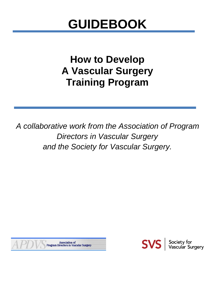# **GUIDEBOOK**

# **How to Develop A Vascular Surgery Training Program**

*A collaborative work from the Association of Program Directors in Vascular Surgery and the Society for Vascular Surgery.*



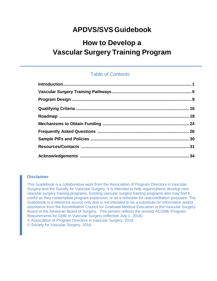# **APDVS/SVS Guidebook**

# **How to Develop a Vascular Surgery Training Program**

# Table of Contents

#### **Disclaimer**

This Guidebook is a collaborative work from the Association of Program Directors in Vascular Surgery and the Society for Vascular Surgery. It is intended to help organizations develop new vascular surgery training programs. Existing vascular surgery training programs also may find it useful as they contemplate program expansion, or as a refresher for reaccreditation purposes. The Guidebook is a reference source only and is not intended to be a substitute for information and/or assistance from the Accreditation Council for Graduate Medical Education or the Vascular Surgery Board of the American Board of Surgery. This version reflects the revised ACGME-Program Requirements for GME in Vascular Surgery (effective July 1, 2018). © Association of Program Directors in Vascular Surgery, 2018. © Society for Vascular Surgery, 2018.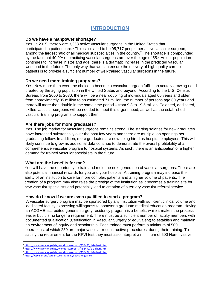# **INTRODUCTION**

#### <span id="page-2-0"></span>**Do we have a manpower shortage?**

Yes. In 2015, there were 3,358 active vascular surgeons in the United States that participated in patient care. [1](#page-2-1) This calculated to be 95,717 people per active vascular surgeon, among the largest ratio of all medical subspecialties in the country. [2](#page-2-2) The shortage is compounded by the fact that 40.9% of practicing vascular surgeons are over the age of 55.<sup>[3](#page-2-3)</sup> As our population continues to increase in size and age, there is a dramatic increase in the predicted vascular workload in the future. The only way that we can ensure the delivery of high quality care to patients is to provide a sufficient number of well-trained vascular surgeons in the future.

#### **Do we need more training programs?**

Yes. Now more than ever, the choice to become a vascular surgeon fulfills an acutely growing need created by the aging population in the United States and beyond. According to the U.S. Census Bureau, from 2000 to 2030, there will be a near doubling of individuals aged 65 years and older, from approximately 35 million to an estimated 71 million; the number of persons age 80 years and more will more than double in the same time period – from 9.3 to 19.5 million. Talented, dedicated, skilled vascular surgeons will be needed to meet this urgent need, as well as the established vascular training programs to support them. [4](#page-2-4)

#### **Are there jobs for more graduates?**

Yes. The job market for vascular surgeons remains strong. The starting salaries for new graduates have increased substantially over the past few years and there are multiple job openings per graduating fellow. In addition, more graduates are now being hired as hospital employees. This will likely continue to grow as additional data continue to demonstrate the overall profitability of a comprehensive vascular program to hospital systems. As such, there is an anticipation of a higher demand for trained vascular specialists in the future.

#### **What are the benefits for me?**

You will have the opportunity to train and mold the next generation of vascular surgeons. There are also potential financial rewards for you and your hospital. A training program may increase the ability of an institution to care for more complex patients and a higher volume of patients. The creation of a program may also raise the prestige of the institution as it becomes a training site for new vascular specialists and potentially lead to creation of a tertiary vascular referral service.

#### **How do I know if we are even qualified to start a program?**

A vascular surgery program may be sponsored by any institution with sufficient clinical volume and dedicated faculty expressing willingness to sponsor a graduate medical education program. Having an ACGME-accredited general surgery residency program is a benefit; while it makes the process easier but it is no longer a requirement. There must be a sufficient number of faculty members with documented qualification (Certification in Vascular Surgery or equivalent) to establish and maintain an environment of inquiry and scholarship. Each trainee must perform a minimum of 500 operations, of which 250 are major vascular reconstructive procedures, during their training. To satisfy the requirement for the RPVI test they must also interpret a minimum of 500 Non-invasive

<span id="page-2-1"></span> <sup>1</sup> <https://www.aamc.org/data/workforce/reports/458490/1-2-chart.html>

<sup>&</sup>lt;sup>2</sup> <https://www.aamc.org/data/workforce/reports/458490/1-2-chart.html>

<span id="page-2-3"></span><span id="page-2-2"></span><sup>&</sup>lt;sup>3</sup> <https://www.aamc.org/data/workforce/reports/458494/1-4-chart.html>

<span id="page-2-4"></span><sup>4</sup> <https://vascular.org/career-tools-training/specialty-glance>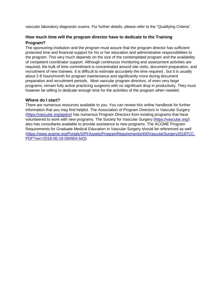vascular laboratory diagnostic exams. For further details, please refer to the "Qualifying Criteria".

# **How much time will the program director have to dedicate to the Training Program?**

The sponsoring institution and the program must assure that the program director has sufficient protected time and financial support for his or her education and administrative responsibilities to the program. This very much depends on the size of the contemplated program and the availability of competent coordinator support. Although continuous monitoring and assessment activities are required, the bulk of time commitment is concentrated around site visits, document preparation, and recruitment of new trainees. It is difficult to estimate accurately the time required , but it is usually about 2-8 hours/month for program maintenance and significantly more during document preparation and recruitment periods. Most vascular program directors, of even very large programs, remain fully active practicing surgeons with no significant drop in productivity. They must however be willing to dedicate enough time for the activities of the program when needed.

#### **Where do I start?**

There are numerous resources available to you. You can review this online handbook for further information that you may find helpful. The Association of Program Directors in Vascular Surgery [\(https://vascular.org/apdvs\)](https://vascular.org/apdvs) has numerous Program Directors from existing programs that have volunteered to work with new programs. The Society for Vascular Surgery [\(https://vascular.org/\)](https://vascular.org/) also has consultants available to provide assistance to new programs The ACGME Program Requirements for Graduate Medical Education in Vascular Surgery should be referenced as well [\(https://www.acgme.org/Portals/0/PFAssets/ProgramRequirements/450VascularSurgery2018TCC.](https://www.acgme.org/Portals/0/PFAssets/ProgramRequirements/450VascularSurgery2018TCC.PDF?ver=2018-06-19-094904-543) [PDF?ver=2018-06-19-094904-543\)](https://www.acgme.org/Portals/0/PFAssets/ProgramRequirements/450VascularSurgery2018TCC.PDF?ver=2018-06-19-094904-543).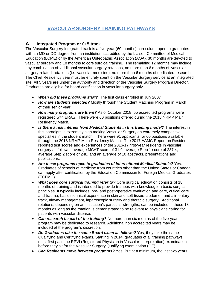# **VASCULAR SURGERY TRAINING PATHWAYS**

# <span id="page-4-0"></span>**A. Integrated Program or 0+5 track**

The Vascular Surgery Integrated track is a five-year (60 months) curriculum, open to graduates with an MD or DO degree from an institution accredited by the Liaison Committee of Medical Education (LCME) or by the American Osteopathic Association (AOA). 30 months are devoted to vascular surgery and 18 months to core surgical training. The remaining 12 months may include any combination of: additional vascular surgery rotations, no more than 6 months of 'vascular surgery-related' rotations (ie: vascular medicine), no more than 6 months of dedicated research. The Chief Residency year must be entirely spent on the Vascular Surgery service at an integrated site. All 5 years are under the authority and direction of the Vascular Surgery Program Director. Graduates are eligible for board certification in vascular surgery only.

- *When did these programs start?* The first class enrolled in July 2007
- *How are students selected?* Mostly through the Student Matching Program in March of their senior year.
- *How many programs are there?* As of October 2018, 55 accredited programs were registered with ERAS. There were 60 positions offered during the 2018 NRMP Main Residency Match.
- *Is there a real interest from Medical Students in this training model?* The interest in this paradigm is extremely high making Vascular Surgery an extremely competitive specialties in the student match. There were 91 applicants for 60 positions available through the 2018 NRMP Main Residency Match. The 2017 AAMC Report on Residents reported test scores and experiences of the 2016-17 first-year residents in vascular surgery as follows: average MCAT score of 31.9, average Step 1 score of 237.4, average Step 2 score of 248, and an average of 10 abstracts, presentations and publications.
- *Are these programs open to graduates of International Medical Schools?* Yes. Graduates of schools of medicine from countries other than the United States or Canada can apply after certification by the Education Commission for Foreign Medical Graduates (ECFMG).
- *What does core surgical training refer to?* Core surgical education consists of 18 months of training and is intended to provide trainees with knowledge in basic surgical principles. It typically includes: pre- and post-operative evaluation and care, critical care and trauma, basic technical experience in skin and soft tissue, abdomen and alimentary track, airway management, laparoscopic surgery and thoracic surgery. Additional rotations, depending on an institution's particular strengths, can be included in these 18 months as long as the rotation is demonstrated to be relevant to physicians caring for patients with vascular disease.
- *Can research be part of the training?* No more than six months of the five-year program may be dedicated to research. Additional non accredited years may be included at the program's discretion.
- *Do Graduates take the same Board exam as fellows?* Yes; they take the same Qualifying and Certifying exams. Starting in 2014, graduates of all training pathways must first pass the RPVI (Registered Physician in Vascular Interpretation) examination before they sit for the Vascular Surgery Qualifying examination (QE).
- *Can Residents move between programs?* Yes. But at a minimum, the last two years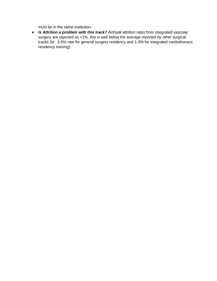must be in the same institution.

• *Is Attrition a problem with this track?* Annual attrition rates from integrated vascular surgery are reported as <1%, this is well below the average reported by other surgical tracks (ie: 3-5% rate for general surgery residency and 1-3% for integrated cardiothoracic residency training).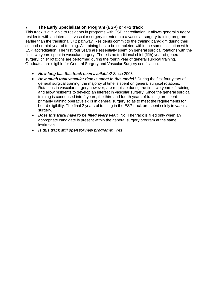# • **The Early Specialization Program (ESP) or 4+2 track**

This track is available to residents in programs with ESP accreditation. It allows general surgery residents with an interest in vascular surgery to enter into a vascular surgery training program earlier than the traditional 5+2 pathway. Residents commit to the training paradigm during their second or third year of training. All training has to be completed within the same institution with ESP accreditation. The first four years are essentially spent on general surgical rotations with the final two years spent in vascular surgery. There is no traditional chief (fifth) year of general surgery; chief rotations are performed during the fourth year of general surgical training. Graduates are eligible for General Surgery and Vascular Surgery certification.

- *How long has this track been available?* Since 2003.
- *How much total vascular time is spent in this model?* During the first four years of general surgical training, the majority of time is spent on general surgical rotations. Rotations in vascular surgery however, are requisite during the first two years of training and allow residents to develop an interest in vascular surgery. Since the general surgical training is condensed into 4 years, the third and fourth years of training are spent primarily gaining operative skills in general surgery so as to meet the requirements for board eligibility. The final 2 years of training in the ESP track are spent solely in vascular surgery.
- *Does this track have to be filled every year?* No. The track is filled only when an appropriate candidate is present within the general surgery program at the same institution.
- *Is this track still open for new programs?* Yes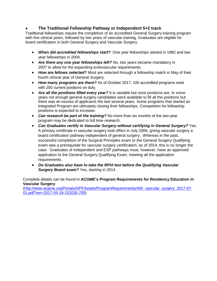#### • **The Traditional Fellowship Pathway or Independent 5+2 track**

Traditional fellowships require the completion of an accredited General Surgery training program with five clinical years, followed by two years of vascular training. Graduates are eligible for board certification in both General Surgery and Vascular Surgery.

- *When did accredited fellowships start?* One year fellowships started in 1982 and two year fellowships in 2004.
- *Are there any one year fellowships left?* No, two years became mandatory in 2007 to allow for the expanding endovascular requirements.
- *How are fellows selected?* Most are selected through a fellowship match in May of their fourth clinical year of General Surgery.
- *How many programs are there?* As of October 2017, 105 accredited programs exist with 250 current positions on duty.
- *Are all the positions filled every year?* It is variable but most positions are. In some years not enough general surgery candidates were available to fill all the positions but there was an excess of applicants the last several years. Some programs that started an Integrated Program are ultimately closing their fellowships. Competition for fellowship positions is expected to increase.
- *Can research be part of the training?* No more than six months of the two-year program may be dedicated to full time research.
- *Can Graduates certify in Vascular Surgery without certifying in General Surgery?* Yes. A primary certificate in vascular surgery took effect in July 2006, giving vascular surgery a board certification pathway independent of general surgery. Whereas in the past, successful completion of the Surgical Principles exam or the General Surgery Qualifying exam was a prerequisite for vascular surgery certification, as of 2014, this is no longer the case. Graduates of independent and ESP pathways must, however, have an approved application to the General Surgery Qualifying Exam, meeting all the application requirements.
- *Do Graduates also have to take the RPVI test before the Qualifying Vascular Surgery Board exam?* Yes, starting in 2014.

Complete details can be found in **ACGME's Program Requirements for Residency Education in Vascular Surgery**.

[\(http://www.acgme.org/Portals/0/PFAssets/ProgramRequirements/450\\_vascular\\_surgery\\_2017-07-](http://www.acgme.org/Portals/0/PFAssets/ProgramRequirements/450_vascular_surgery_2017-07-01.pdf?ver=2017-05-19-152030-700) [01.pdf?ver=2017-05-19-152030-700\)](http://www.acgme.org/Portals/0/PFAssets/ProgramRequirements/450_vascular_surgery_2017-07-01.pdf?ver=2017-05-19-152030-700)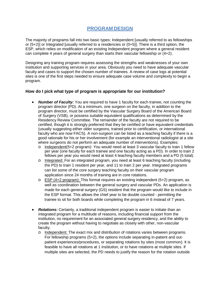# **PROGRAM DESIGN**

<span id="page-8-0"></span>The majority of programs fall into two basic types: Independent [usually referred to as fellowships or (5+2)] or Integrated [usually referred to a residencies or (0+5)]. There is a third option, the ESP, which relies on modification of an existing Independent program where a general resident can complete 4 years of general surgery than starts their vascular fellowship or (4+2).

Designing any training program requires assessing the strengths and weaknesses of your own institution and supporting services in your area. Obviously you need to have adequate vascular faculty and cases to support the chosen number of trainees. A review of case logs at potential sites is one of the first steps needed to ensure adequate case volume and complexity to begin a program.

#### **How do I pick what type of program is appropriate for our institution?**

- *Number of Faculty:* You are required to have 1 faculty for each trainee, not counting the program director (PD). At a minimum, one surgeon on the faculty, in addition to the program director, must be certified by the Vascular Surgery Board of the American Board of Surgery (VSB), or possess suitable equivalent qualifications as determined by the Residency Review Committee. The remainder of the faculty are not required to be certified, though it is strongly preferred that they be certified or have equivalent credentials (usually suggesting either older surgeons, trained prior to certification, or international faculty who are now FACS). A non-surgeon can be listed as a teaching faculty if there is a good rationale for his or her involvement (for example an interventional radiologist at a site where surgeons do not perform an adequate number of interventions). Examples:
	- o Independent(5+2 program): You would need at least 3 vascular faculty to train 1 fellow per year (one faculty for each trainee and one faculty acting as a PD). In order to train 2 fellows per year you would need at least 4 teaching faculty members and a PD (5 total).
	- o Integrated: For an integrated program, you need at least 6 teaching faculty (including the PD) to train 1 resident per year, and 11 to train 2 per year. Integrated programs can list some of the core surgery teaching faculty on their vascular program application since 24 months of training are in core rotations.
	- $\circ$  ESP (4+2 program): This format requires an existing independent (5+2) program, as well as coordination between the general surgery and vascular PDs. An application is made for each general surgery (GS) resident that the program would like to include in the ESP format. This allows the chief year to be double counted - permitting the trainee to sit for both boards while completing the program in 6 instead of 7 years.
- *Rotations:* Certainly, a traditional independent program is easier to initiate than an integrated program for a multitude of reasons, including financial support from the institution, no requirement for an associated general surgery residency, and the ability to create the program without having to negotiate as closely with other, non-vascular faculty.
	- o Independent: The exact mix and distribution of rotations varies between programs. For fellowship programs (5+2), the options include separating in-patient and outpatient experiences/procedures, or separating rotations by sites (most common). It is feasible to have all rotations at 1 institution, or to have rotations at multiple sites. If multiple sites are selected, the PD needs to justify the reason for the rotation outside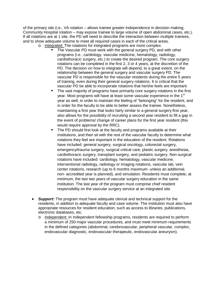of the primary site (i.e., VA rotation – allows trainee greater independence in decision making; Community Hospital rotation – may expose trainee to large volume of open abdominal cases, etc.). If all rotations are at 1 site, the PD will need to describe the interaction between multiple trainees, and to show adequate volume to meet all required cases in each of the critical areas.

- o Integrated: The rotations for integrated programs are more complex.
	- The Vascular PD must work with the general surgery PD, and with other programs (i.e., cardiology, vascular medicine, hematology, radiology, cardiothoracic surgery, etc.) to create the desired program. The core surgery rotations can be completed in the first 2, 3 or 4 years, at the discretion of the PD. The decision on how to integrate will depend, to a great extent, on the relationship between the general surgery and vascular surgery PD. The vascular PD is responsible for the vascular residents during the entire 5 years of training, even during their general surgery rotations. It is critical that the vascular PD be able to incorporate rotations that he/she feels are important.
	- The vast majority of programs have primarily core surgery rotations in the first year. Most programs will have at least some vascular experience in the 1<sup>st</sup> year as well, in order to maintain the feeling of "belonging" for the resident, and in order for the faculty to be able to better assess the trainee. Nonetheless, maintaining a first year that looks fairly similar to a general surgery first year, also allows for the possibility of recruiting a second year resident to fill a gap in the event of problems/ change of career plans for the first year resident (this would require approval by the RRC).
	- The PD should first look at the faculty and programs available at their institutions, and then sit with the rest of the vascular faculty to determine what rotations they feel are important in the education of the resident. Rotations have included: general surgery, surgical oncology, colorectal surgery, emergency/trauma surgery, surgical critical care, plastic surgery, anesthesia, cardiothoracic surgery, transplant surgery, and pediatric surgery. Non-surgical rotations have included: cardiology, hematology, vascular medicine, interventional radiology, radiology or imaging rotations, vascular lab, vein center rotations, research (up to 6 months maximum- unless an additional, non- accredited year is planned), and simulation. Residents must complete, at minimum, the last two years of vascular surgery education in the same institution. The last year of the program must comprise chief resident responsibility on the vascular surgery service at an integrated site.
- *Support:* The program must have adequate clerical and technical support for the residents, in addition to adequate faculty and case volume. The institution must also have appropriate resources for resident education, such as access to libraries, publications, electronic databases, etc.
	- o Independent: In Independent fellowship programs, residents are required to perform a minimum of 250 major vascular procedures, and must meet minimum requirements in the defined categories (abdominal, cerebrovascular, peripheral vascular, complex, endovascular diagnostic, endovascular therapeutic, endovascular aneurysm).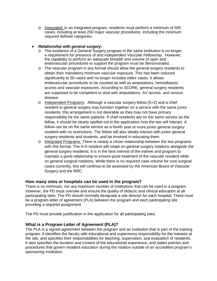o Integrated: In an integrated program, residents must perform a minimum of 500 cases, including at least 250 major vascular procedures, including the minimum required defined categories.

#### • *Relationship with general surgery:*

- o The existence of a General Surgery program in the same institution is no longer a requirement for presence of and *Independent Vascular Fellowship*. However, the capability to perform an adequate breadth and volume of open and endovascular procedures to support the program must be demonstrated.
- o The vascular program in any format should allow the general surgery residents to obtain their mandatory minimum vascular exposure. This has been reduced significantly to 50 cases and no longer includes index cases. It allows endovascular procedures to be counted as well as amputations, hemodialysis access and vascular exposures. According to SCORE, general surgery residents are supposed to be competent to deal with amputations, AV access, and venous disease.
- o Independent Programs: Although a vascular surgery fellow (5+2) and a chief resident in general surgery may function together on a service with the same junior residents, this arrangement is not desirable as they may not have primary responsibility for the same patients. If chief residents are on the same service as the fellow, it should be clearly spelled out in the application how the two will interact. A fellow can be on the same service as a fourth year or more junior general surgery resident with no restrictions. The fellow will also ideally interact with junior general surgery residents and students, and be involved in educating them.
- o Integrated Programs: There is clearly a closer relationship between the two programs with this format. The 0+5 resident will rotate on general surgery rotations alongside the general surgery residents. It is in the best interest of the trainee and program to maintain a good relationship to ensure good treatment of the vascular resident while on general surgical rotations. While there is no required case volume for core surgical cases currently, this will continue to be assessed by the American Board of Vascular Surgery and the RRC.

#### **How many sites or hospitals can be used in the program?**

There is no minimum, nor any maximum number of institutions that can be used in a program. However, the PD must oversee and ensure the quality of didactic and clinical education at all participating sites. The PD should normally designate a site director for each hospital. There must be a program letter of agreement (PLA) between the program and each participating site providing a required assignment.

The PD must provide justification in the application for all participating sites.

#### **What is a Program Letter of Agreement (PLA)?**

The PLA is a signed agreement between the program and an institution that is part of the training program. It identifies the faculty with educational and supervisory responsibility for the trainees at the site, and specifies their responsibilities for teaching, supervision, and evaluation of residents. It also specifies the duration and content of the educational experience, and states policies and procedures that govern resident education during the rotation outside of an accredited program's sponsoring institution.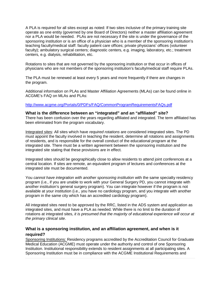A PLA is required for all sites except as noted: If two sites inclusive of the primary training site operate as one entity (governed by one Board of Directors) neither a master affiliation agreement nor a PLA would be needed. PLAs are not necessary if the site is under the governance of the sponsoring institution or is an office of a physician who is a member of the sponsoring institution's teaching faculty/medical staff: faculty patient care offices; private physicians' offices (volunteer faculty); ambulatory surgical centers; diagnostic centers, e.g. imaging, laboratory, etc.; treatment centers, e.g. dialysis, rehabilitation, etc.

Rotations to sites that are not governed by the sponsoring institution or that occur in offices of physicians who are not members of the sponsoring institution's faculty/medical staff require PLAs.

The PLA must be renewed at least every 5 years and more frequently if there are changes in the program.

Additional information on PLAs and Master Affiliation Agreements (MLAs) can be found online in ACGME's FAQ on MLAs and PLAs:

#### <http://www.acgme.org/Portals/0/PDFs/FAQ/CommonProgramRequirementsFAQs.pdf>

**What is the difference between an "integrated" and an "affiliated" site?** There has been confusion over the years regarding affiliated and integrated. The term affiliated has been eliminated from the program vocabulary.

Integrated sites: All sites which have *required rotations* are considered integrated sites. The PD must appoint the faculty involved in teaching the resident, determine all rotations and assignments of residents, and is responsible for the overall conduct of the educational program at the integrated site. There must be a written agreement between the sponsoring institution and the integrated site stating that these provisions are in effect.

Integrated sites should be geographically close to allow residents to attend joint conferences at a central location. If sites are remote, an equivalent program of lectures and conferences at the integrated site must be documented.

You *cannot have integration with another sponsoring institution* with the same specialty residency program (i.e., if you are unable to work with your General Surgery PD, you cannot integrate with another institution's general surgery program). You can integrate however if the program is not available at your institution (i.e., you have no cardiology program, and you integrate with another program in the same city which has an accredited cardiology program).

All integrated sites need to be approved by the RRC, listed in the ADS system and application as integrated sites, and must have a PLA as needed. While there is no limit to the duration of rotations at integrated sites, *it is presumed that the majority of educational experience will occur at the primary clinical site*.

#### **What is a sponsoring institution, and an affiliation agreement, and when is it required?**

Sponsoring Institutions: Residency programs accredited by the Accreditation Council for Graduate Medical Education (ACGME) must operate under the authority and control of one Sponsoring Institution. Institutional responsibility extends to resident assignments at all participating sites. A Sponsoring Institution must be in compliance with the ACGME Institutional Requirements and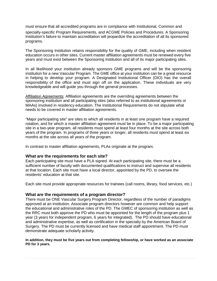must ensure that all accredited programs are in compliance with Institutional, Common and

specialty-specific Program Requirements, and ACGME Policies and Procedures. A Sponsoring Institution's failure to maintain accreditation will jeopardize the accreditation of all its sponsored programs.

The Sponsoring Institution retains responsibility for the quality of GME, including when resident education occurs in other sites. Current master affiliation agreements must be renewed every five years and must exist between the Sponsoring Institution and all of its major participating sites.

In all likelihood your institution already sponsors GME programs and will be the sponsoring institution for a new Vascular Program. The GME office at your institution can be a great resource in helping to develop your program. A Designated Institutional Officer (DIO) has the overall responsibility of the office and must sign off on the application. These individuals are very knowledgeable and will guide you through the general processes.

Affiliation Agreements: Affiliation agreements are the overriding agreements between the sponsoring institution and all participating sites (also referred to as institutional agreements or MAAs) involved in residency education. The Institutional Requirements do not stipulate what needs to be covered in master affiliation agreements.

"Major participating site" are sites to which all residents in at least one program have a required rotation, and for which a master affiliation agreement must be in place. To be a major participating site in a two-year program, all residents must spend at least four months at the site across both years of the program. In programs of three years or longer, all residents must spend at least six months at the site across all years of the program.

In contrast to master affiliation agreements, PLAs originate at the program.

#### **What are the requirements for each site?**

Each participating site must have a PLA signed. At each participating site, there must be a sufficient number of faculty with documented qualifications to instruct and supervise all residents at that location. Each site must have a local director, appointed by the PD, to oversee the residents' education at that site.

Each site must provide appropriate resources for trainees (call rooms, library, food services, etc.)

#### **What are the requirements of a program director?**

There must be ONE Vascular Surgery Program Director, regardless of the number of paradigms approved at an institution. Associate program directors however are common and help support the educational and administrative roles of the PD. The GMEC of sponsoring institution as well as the RRC must both approve the PD who must be appointed for the length of the program plus 1 year (3 years for independent program, 6 years for integrated). The PD should have educational and administrative expertise, as well as certification in the specialty by the American Board of Surgery. The PD must be currently licensed and have medical staff appointment. The PD must demonstrate adequate scholarly activity.

#### **In addition, they must be five years out from completing fellowship, or have worked as an associate PD for 3 years.**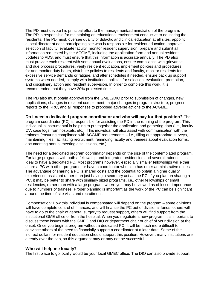The PD must devote his principal effort to the management/administration of the program. The PD is responsible for maintaining an educational environment conducive to educating the residents. The PD must: oversee quality of didactic and clinical education at all sites, appoint a local director at each participating site who is responsible for resident education, approve selection of faculty, evaluate faculty, monitor resident supervision, prepare and submit all information requested by the ACGME, including the application form and annual resident updates to ADS, and must ensure that this information is accurate annually. The PD also must provide each resident with semiannual evaluations, ensure compliance with grievance and due process procedures, verify resident education, implement policies and procedures for and monitor duty hours, distribute policies to residents and faculty, monitor residents for excessive service demands or fatigue, and alter schedules if needed, ensure back up support systems when needed, comply with institutional policies for selection, evaluation, promotion, and disciplinary action and resident supervision. In order to complete this work, it is recommended that they have 20% protected time.

The PD also must obtain approval from the GMEC/DIO prior to submission of changes, new applications, changes in resident complement, major changes in program structure, progress reports to the RRC, and all responses to proposed adverse actions to the ACGME.

**Do I need a dedicated program coordinator and who will pay for that position?** The program coordinator (PC) is responsible for assisting the PD in the running of the program. This individual is instrumental in helping to put together the application and gathering data (i.e., faculty CV, case logs from hospitals, etc.). This individual will also assist with communication with the trainees (ensuring compliance with ACGME requirements – i.e., filling out appropriate surveys, maintaining files, facilitating recruitment, reminding faculty and trainees about evaluation forms, documenting annual meeting discussions, etc.).

The need for a dedicated program coordinator depends on the size of the contemplated program. For large programs with both a fellowship and integrated residencies and several trainees, it is ideal to have a dedicated PC. Most programs however, especially smaller fellowships will either share a PC with other programs, or have a coordinator who also has other administrative duties. The advantage of sharing a PC is shared costs and the potential to obtain a higher quality experienced assistant rather than just having a secretary act as the PC. If you plan on sharing a PC, it may be better to share with similarly sized programs, i.e., other fellowships or small residencies, rather than with a large program, where you may be viewed as of lesser importance due to numbers of trainees. Proper planning is important as the work of the PC can be significant around the time of site visits and recruitment.

Compensation: How this individual is compensated will depend on the program – some divisions will have complete control of finances, and will finance the PC out of divisional funds, others will have to go to the chair of general surgery to request support, others will find support from the institutional GME office or from the hospital. When you negotiate a new program, it is important to discuss these issues with the GMEC and DIO or department chair or chief of your division at the onset. Once you begin a program without a dedicated PC, it will be much more difficult to convince others of the need to financially support a coordinator at a later date. Some of the indirect dollars for resident education should support this position. However, many institutions are already over the cap, so this argument may or may not be successful.

#### **Who will help me locally?**

The first place to go locally would be your local GMEC office. The DIO can also provide support.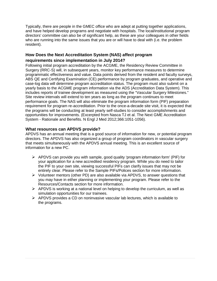Typically, there are people in the GMEC office who are adept at putting together applications, and have helped develop programs and negotiate with hospitals. The local/institutional program directors' committee can also be of significant help, as these are your colleagues in other fields who are running into the same issues that you are or will have to deal with (i.e. the problem resident).

# **How Does the Next Accreditation System (NAS) affect program**

# **requirements since implementation in July 2014?**

Following initial program accreditation by the ACGME, the Residency Review Committee in Surgery (RRC-S) will, in subsequent years, monitor key performance measures to determine programmatic effectiveness and value. Data points derived from the resident and faculty surveys, ABS QE and Certifying Examination (CE) performance by program graduates, and operative and case-log data will determine program accreditation status. The program must also submit on a yearly basis to the ACGME program information via the ADS (Accreditation Data System). This includes reports of trainee development as measured using the "Vascular Surgery Milestones." Site review intervals will extend to ten years as long as the program continues to meet performance goals. The NAS will also eliminate the program information form (PIF) preparation requirement for program re-accreditation. Prior to the once-a-decade site visit, it is expected that the programs will be conducting at least yearly self-studies to consider accomplishments and opportunities for improvements. (Excerpted from Nasca TJ et al. The Next GME Accreditation System - Rationale and Benefits. N Engl J Med 2012;366:1051-1056).

#### **What resources can APDVS provide?**

APDVS has an annual meeting that is a good source of information for new, or potential program directors. The APDVS has also organized a group of program coordinators in vascular surgery that meets simultaneously with the APDVS annual meeting. This is an excellent source of information for a new PC.

- $\triangleright$  APDVS can provide you with sample, good quality 'program information form' (PIF) for your application for a new accredited residency program. While you do need to tailor the PIF to your own site, viewing successful PIFs can clarify issues that may not be entirely clear. Please refer to the Sample PIFs/Polices section for more information.
- $\triangleright$  Volunteer mentors (other PD) are also available via APDVS, to answer questions that you may have in either planning or implementing your program. Please refer to the Resources/Contacts section for more information.
- $\triangleright$  APDVS is working at a national level on helping to develop the curriculum, as well as simulation opportunities for our trainees.
- $\triangleright$  APDVS provides a CD on noninvasive vascular lab lectures, which is available to the programs.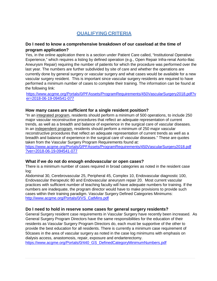# **QUALIFYINGCRITERIA**

#### <span id="page-15-0"></span>**Do I need to know a comprehensive breakdown of our caseload at the time of program application?**

Yes, in the online application there is a section under Patient Care called, "Institutional Operative Experience," which requires a listing by defined operation (e.g., Open Repair Infra-renal Aorto-Iliac Aneurysm Repair) requiring the number of patients for which the procedure was performed over the last year. The numbers are further subdivided by site of care and whether the operations are currently done by general surgery or vascular surgery and what cases would be available for a new vascular surgery resident. This is important since vascular surgery residents are required to have performed a minimum number of cases to complete their training. The information can be found at the following link:

[https://www.acgme.org/Portals/0/PFAssets/ProgramRequirements/450VascularSurgery2018.pdf?v](https://www.acgme.org/Portals/0/PFAssets/ProgramRequirements/450VascularSurgery2018.pdf?ver=2018-06-19-094541-077) [er=2018-06-19-094541-077](https://www.acgme.org/Portals/0/PFAssets/ProgramRequirements/450VascularSurgery2018.pdf?ver=2018-06-19-094541-077)

#### **How many cases are sufficient for a single resident position?**

"In an integrated program, residents should perform a minimum of 500 operations, to include 250 major vascular reconstructive procedures that reflect an adequate representation of current trends, as well as a breadth and balance of experience in the surgical care of vascular diseases. In an independent program, residents should perform a minimum of 250 major vascular reconstructive procedures that reflect an adequate representation of current trends as well as a breadth and balance of experience in the surgical care of vascular diseases." These are quotes taken from the Vascular Surgery Program Requirements found at:

[https://www.acgme.org/Portals/0/PFAssets/ProgramRequirements/450VascularSurgery2018.pdf](https://www.acgme.org/Portals/0/PFAssets/ProgramRequirements/450VascularSurgery2018.pdf?ver=2018-06-19-094541-077) [?ver=2018-06-19-094541-077](https://www.acgme.org/Portals/0/PFAssets/ProgramRequirements/450VascularSurgery2018.pdf?ver=2018-06-19-094541-077)

#### **What if we do not do enough endovascular or open cases?**

There is a minimum number of cases required in broad categories as noted in the resident case log:

Abdominal 30, Cerebrovascular 25, Peripheral 45, Complex 10, Endovascular diagnostic 100, Endovascular therapeutic 80 and Endovascular aneurysm repair 20. Most current vascular practices with sufficient number of teaching faculty will have adequate numbers for training. If the numbers are inadequate, the program director would have to make provisions to provide such cases within their training paradigm. Vascular Surgery Defined Categories Minimums: [http://www.acgme.org/Portals/0/VS\\_CatMins.pdf](http://www.acgme.org/Portals/0/VS_CatMins.pdf)

#### **Do I need to hold in reserve some cases for general surgery residents?**

General Surgery resident case requirements in Vascular Surgery have recently been increased. As General Surgery Program Directors have the same responsibilities for the education of their residents as Vascular Surgery Program Directors do, each must be supportive of the other to provide the best education for all residents. There is currently a minimum case requirement of 50cases in the area of vascular surgery as noted in the case log minimums with emphasis on dialysis access, anastomosis, repair, exposure and endarterectomy.

[https://www.acgme.org/Portals/0/440\\_GS\\_DefinedCategoryMinimumNumbers.pdf](https://www.acgme.org/Portals/0/440_GS_DefinedCategoryMinimumNumbers.pdf)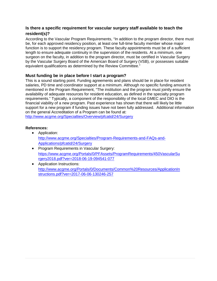# **Is there a specific requirement for vascular surgery staff available to teach the resident(s)?**

According to the Vascular Program Requirements, "In addition to the program director, there must be, for each approved residency position, at least one full-time faculty member whose major function is to support the residency program. These faculty appointments must be of a sufficient length to ensure adequate continuity in the supervision of the residents. At a minimum, one surgeon on the faculty, in addition to the program director, must be certified in Vascular Surgery by the Vascular Surgery Board of the American Board of Surgery (VSB), or possesses suitable equivalent qualifications as determined by the Review Committee."

#### **Must funding be in place before I start a program?**

This is a sound starting point. Funding agreements and plans should be in place for resident salaries, PD time and coordinator support at a minimum. Although no specific funding amount is mentioned in the Program Requirement, "The institution and the program must jointly ensure the availability of adequate resources for resident education, as defined in the specialty program requirements." Typically, a component of the responsibility of the local GMEC and DIO is the financial viability of a new program. Past experience has shown that there will likely be little support for a new program if funding issues have not been fully addressed. Additional information on the general Accreditation of a Program can be found at:

<http://www.acgme.org/Specialties/Overview/pfcatid/24/Surgery>

#### **References:**

- Application: [http://www.acgme.org/Specialties/Program-Requirements-and-FAQs-and-](http://www.acgme.org/Specialties/Program-Requirements-and-FAQs-and-Applications/pfcatid/24/Surgery)[Applications/pfcatid/24/Surgery](http://www.acgme.org/Specialties/Program-Requirements-and-FAQs-and-Applications/pfcatid/24/Surgery)
- Program Requirements in Vascular Surgery: [https://www.acgme.org/Portals/0/PFAssets/ProgramRequirements/450VascularSu](https://www.acgme.org/Portals/0/PFAssets/ProgramRequirements/450VascularSurgery2018.pdf?ver=2018-06-19-094541-077) [rgery2018.pdf?ver=2018-06-19-094541-077](https://www.acgme.org/Portals/0/PFAssets/ProgramRequirements/450VascularSurgery2018.pdf?ver=2018-06-19-094541-077)
- Application Instructions: [http://www.acgme.org/Portals/0/Documents/Common%20Resources/ApplicationIn](http://www.acgme.org/Portals/0/Documents/Common%20Resources/ApplicationInstructions.pdf?ver=2017-06-06-130246-257) [structions.pdf?ver=2017-06-06-130246-257](http://www.acgme.org/Portals/0/Documents/Common%20Resources/ApplicationInstructions.pdf?ver=2017-06-06-130246-257)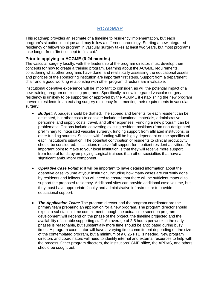# **ROADMAP**

<span id="page-17-0"></span>This roadmap provides an estimate of a timeline to residency implementation, but each program's situation is unique and may follow a different chronology. Starting a new integrated residency or fellowship program in vascular surgery takes at least two years, but most programs take longer from "first concept to first cut."

#### **Prior to applying to ACGME (6-24 months)**

The vascular surgery faculty, with the leadership of the program director, must develop their concepts for how to create a training program. Learning about the ACGME requirements, considering what other programs have done, and realistically assessing the educational assets and priorities of the sponsoring institution are important first steps. Support from a department chair and a good working relationship with other program directors are invaluable.

Institutional operative experience will be important to consider, as will the potential impact of a new training program on existing programs. Specifically, a new integrated vascular surgery residency is unlikely to be supported or approved by the ACGME if establishing the new program prevents residents in an existing surgery residency from meeting their requirements in vascular surgery.

- *Budget:* A budget should be drafted. The stipend and benefits for each resident can be estimated, but other costs to consider include educational materials, administrative personnel and supply costs, travel, and other expenses. Funding a new program can be problematic. Options include converting existing resident positions (from non-designated preliminary to integrated vascular surgery), funding support from affiliated institutions, or other funding sources. Success with funding will be highly dependent on the specifics of each institution's situation. The potential contribution of residents to clinical productivity should be considered. Institutions receive full support for inpatient resident activities. An important point to make to your local institution is that they will receive more support from federal funds by employing surgical trainees than other specialties that have a significant ambulatory component.
- *Operative Case Volume:* It will be important to have detailed information about the operative case volume at your institution, including how many cases are currently done by residents and fellows. You will need to ensure that there will be sufficient material to support the proposed residency. Additional sites can provide additional case volume, but they must have appropriate faculty and administrative infrastructure to provide educational support.
- **The Application Team:** The program director and the program coordinator are the primary team preparing an application for a new program. The program director should expect a substantial time commitment, though the actual time spent on program development will depend on the phase of the project, the timeline projected and the availability of suitable supporting staff. An average of 2-5 hours per week in the early phases is reasonable, but substantially more time should be anticipated during busy times. A program coordinator will have a varying time commitment depending on the size of the contemplated program, but a minimum of a 0.25 FTE is needed. New program directors and coordinators will need to identify internal and external resources to help with the process. Other program directors, the institutions' GME office, the APDVS, and others should be sought out.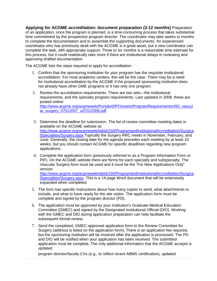**Applying for ACGME accreditation: document preparation (3-12 months)** Preparation of an application, once the program is planned, is a time-consuming process that takes substantial time commitment by the prospective program director. The coordinator may take weeks to months to complete the documentation and to assemble the supporting documents. An experienced coordinator who has previously dealt with the ACGME is a great asset, but a new coordinator can complete the task, with appropriate support. Three to six months is a reasonable time estimate for this process, but it could realistically take more if there are institutional delays in reviewing and approving drafted documentation.

The ACGME lists the steps required to apply for accreditation:

- 1. Confirm that the sponsoring institution for your program has the requisite institutional accreditation. For most academic centers, this will be the case. There may be a need for institutional accreditation by the ACGME if the proposed sponsoring institution does not already have other GME programs or it has only one program.
- 2. Review the accreditation requirements. There are two sets—the institutional requirements, and the specialty program requirements. Last updated in 2008, these are posted online: [http://www.acgme.org/acgmeweb/Portals/0/PFAssets/ProgramRequirements/450\\_vascul](http://www.acgme.org/acgmeweb/Portals/0/PFAssets/ProgramRequirements/450_vascular_surgery_07012007_u07012008.pdf) [ar\\_surgery\\_07012007\\_u07012008.pdf](http://www.acgme.org/acgmeweb/Portals/0/PFAssets/ProgramRequirements/450_vascular_surgery_07012007_u07012008.pdf)
- 3. Determine the deadline for submission. The list of review committee meeting dates is available on the ACGME website at: [http://www.acgme.org/acgmeweb/tabid/150/ProgramandInstitutionalAccreditation/Surgica](http://www.acgme.org/acgmeweb/tabid/150/ProgramandInstitutionalAccreditation/SurgicalSpecialties/Surgery.aspx) [lSpecialties/Surgery.aspx](http://www.acgme.org/acgmeweb/tabid/150/ProgramandInstitutionalAccreditation/SurgicalSpecialties/Surgery.aspx) Typically the Surgery RRC meets in November, February, and June. Generally, the closing date for the agenda precedes each meeting by at least 10 weeks, but you should contact ACGME for specific deadlines regarding new program applications.
- 4. Complete the application form (previously referred to as a Program Information Form or PIF). On the ACGME website there are forms for each specialty and subspecialty. The Vascular Surgery form must be used and it must be the "For New Applications Only" version: [http://www.acgme.org/acgmeweb/tabid/150/ProgramandInstitutionalAccreditation/Surgica](http://www.acgme.org/acgmeweb/tabid/150/ProgramandInstitutionalAccreditation/SurgicalSpecialties/Surgery.aspx) [lSpecialties/Surgery.aspx.](http://www.acgme.org/acgmeweb/tabid/150/ProgramandInstitutionalAccreditation/SurgicalSpecialties/Surgery.aspx) This is a 14-page Word document that will be extensively expanded when completed.
- 5. The form has specific instructions about how many copies to send, what attachments to include, and what to have ready for the site visitor. The application form must be complete and signed by the program director (PD).
- 6. The application must be approved by your institution's Graduate Medical Education Committee (GMEC) and signed by the Designated Institutional Official (DIO). Working with the GMEC and DIO during application preparation can help facilitate the subsequent formal review.
- 7. Send the completed, GMEC-approved application form to the Review Committee for Surgery (address is listed on the application form). There is an application fee required, but the sponsoring institution will be invoiced after the application is processed. The PD and DIO will be notified when your application has been received. The submitted application must be complete. The only additional information that the ACGME accepts is updated

program director/faculty CVs (e.g., to reflect recent ABMS certification), updated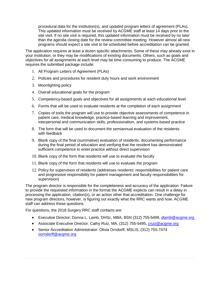procedural data for the institution(s), and updated program letters of agreement (PLAs). This updated information must be received by ACGME staff at least 14 days prior to the site visit. If no site visit is required, this updated information must be received by no later than the agenda closing date for the review committee meeting. However almost all new programs should expect a site visit to be scheduled before accreditation can be granted.

The application requires at least a dozen specific attachments. Some of these may already exist in your institution, or they may be modifications of existing documents. Others, such as goals and objectives for all assignments at each level may be time-consuming to produce. The ACGME requires the submitted package include:

- 1. All Program Letters of Agreement (PLAs)
- 2. Policies and procedures for resident duty hours and work environment
- 3. Moonlighting policy
- 4. Overall educational goals for the program
- 5. Competency-based goals and objectives for all assignments at each educational level
- 6. Forms that will be used to evaluate residents at the completion of each assignment
- 7. Copies of tools the program will use to provide objective assessments of competence in patient care, medical knowledge, practice-based learning and improvement, interpersonal and communication skills, professionalism, and systems-based practice
- 8. The form that will be used to document the semiannual evaluation of the residents with feedback
- 9. Blank copy of the final (summative) evaluation of residents, documenting performance during the final period of education and verifying that the resident has demonstrated sufficient competence to enter practice without direct supervision
- 10. Blank copy of the form that residents will use to evaluate the faculty
- 11. Blank copy of the form that residents will use to evaluate the program
- 12. Policy for supervision of residents (addresses residents' responsibilities for patient care and progressive responsibility for patient management and faculty responsibilities for supervision)

The program director is responsible for the completeness and accuracy of the application. Failure to provide the requested information in the format the ACGME expects can result in a delay in processing the application, citation(s), or an action other that accreditation. One challenge for new program directors, however, is figuring out exactly what the RRC wants and how. ACGME staff can address these questions.

For questions, the 2018 Surgery RRC staff contacts are:

- Executive Director: Donna L. Lamb, DHSc, MBA, BSN (312) 755-5499, [dlamb@acgme.org](mailto:dlamb@acgme.org)
- Associate Executive Director: Cathy Ruiz, MA, (312) 755-5495, [cruiz@acgme.org](mailto:cruiz@acgme.org)
- Senior Accreditation Administrator: Olivia Orndorff, MSLIS, (312) 755-7474 [oorndorff@acgme.org](mailto:oorndorff@acgme.org)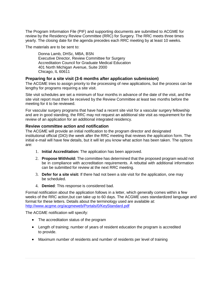The Program Information File (PIF) and supporting documents are submitted to ACGME for review by the Residency Review Committee (RRC) for Surgery. The RRC meets three times yearly. The closing date for the agenda precedes each RRC meeting by at least 10 weeks.

The materials are to be sent to:

Donna Lamb, DHSc, MBA, BSN Executive Director, Review Committee for Surgery Accreditation Council for Graduate Medical Education 401 North Michigan Avenue, Suite 2000 Chicago, IL 60611

#### **Preparing for a site visit (3-6 months after application submission)**

The ACGME tries to assign priority to the processing of new applications, but the process can be lengthy for programs requiring a site visit.

Site visit schedules are set a minimum of four months in advance of the date of the visit, and the site visit report must then be received by the Review Committee at least two months before the meeting for it to be reviewed.

For vascular surgery programs that have had a recent site visit for a vascular surgery fellowship and are in good standing, the RRC may not request an additional site visit as requirement for the review of an application for an additional integrated residency.

#### **Review committee action and notification**

The ACGME will provide an initial notification to the program director and designated institutional official (DIO) the week after the RRC meeting that reviews the application form. The initial e-mail will have few details, but it will let you know what action has been taken. The options are:

- 1. **Initial Accreditation:** The application has been approved.
- 2. **Propose Withhold:** The committee has determined that the proposed program would not be in compliance with accreditation requirements. A rebuttal with additional information can be submitted for review at the next RRC meeting.
- 3. **Defer for a site visit:** If there had not been a site visit for the application, one may be scheduled.
- 4. **Denied**: This response is considered bad.

Formal notification about the application follows in a letter, which generally comes within a few weeks of the RRC action,but can take up to 60 days. The ACGME uses standardized language and format for these letters. Details about the terminology used are available at: <http://www.acgme.org/acgmeweb/Portals/0/KeyStandard.pdf>

The ACGME notification will specify:

- The accreditation status of the program
- Length of training; number of years of resident education the program is accredited to provide.
- Maximum number of residents and number of residents per level of training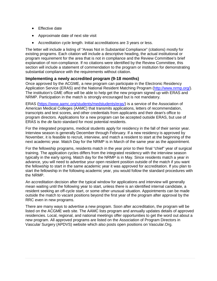- Effective date
- Approximate date of next site visit
- Accreditation cycle length. Initial accreditations are 3 years or less.

The letter will include a listing of "Areas Not in Substantial Compliance" (citations) mostly for existing programs. Each citation will include a descriptive heading, the actual institutional or program requirement for the area that is not in compliance and the Review Committee's brief explanation of non-compliance. If no citations were identified by the Review Committee, this section will include a statement of commendation to the program or institution for demonstrating substantial compliance with the requirements without citation.

#### **Implementing a newly accredited program (9-18 months)**

Once approved by the ACGME, a new program can participate in the Electronic Residency Application Service (ERAS) and the National Resident Matching Program [\(http://www.nrmp.org/\)](http://www.nrmp.org/). The institution's GME office will be able to help get the new program signed up with ERAS and NRMP. Participation in the match is strongly encouraged but is not mandatory.

ERAS [\(https://www.aamc.org/students/medstudents/eras/\)](https://www.aamc.org/students/medstudents/eras/) is a service of the Association of American Medical Colleges (AAMC) that transmits applications, letters of recommendation, transcripts and test scores, and other credentials from applicants and their dean's office to program directors. Applications for a new program can be accepted outside ERAS, but use of ERAS is the *de facto* standard for most potential residents.

For the integrated programs, medical students apply for residency in the fall of their senior year. Interview season is generally December through February. If a new residency is approved by November, it is feasible to recruit, interview, and match a resident to start at the beginning of the next academic year. Match Day for the NRMP is in March of the same year as the appointment.

For the fellowship programs, residents match in the year prior to their final "chief" year of surgical training. The application cycles differs from the integrated residency with the interview season typically in the early spring. Match day for the NRMP is in May. Since residents match a year in advance, you will need to advertise your open resident position outside of the match if you want the fellowship to start in the same academic year it was approved for accreditation. If you plan to start the fellowship in the following academic year, you would follow the standard procedures with the NRMP.

An accreditation decision after the typical window for applications and interview will generally mean waiting until the following year to start, unless there is an identified internal candidate, a resident seeking an off-cycle start, or some other unusual situation. Appointments can be made outside the match to vacant positions beyond the first year of the program after approval by the RRC even in new programs.

There are many ways to advertise a new program. Soon after accreditation, the program will be listed on the ACGME web site. The AAMC lists program and annually updates details of approved residencies. Local, regional, and national meetings offer opportunities to get the word out about a new program. All approved programs are listed on the Association of Program Directors in Vascular Surgery (APDVS) website which also posts open positions on Vascular.Org.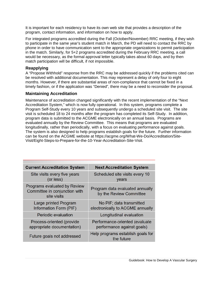It is important for each residency to have its own web site that provides a description of the program, contact information, and information on how to apply.

For integrated programs accredited during the Fall (October/November) RRC meeting, if they wish to participate in the same year's student match in March, the PD will need to contact the RRC by phone in order to have communication sent to the appropriate organizations to permit participation in the match. Similarly, for 5+2 programs accredited during the February RRC meeting, a call would be necessary, as the formal approval letter typically takes about 60 days, and by then match participation will be difficult, if not impossible.

# **Reapplying**

A "Propose Withhold" response from the RRC may be addressed quickly if the problems cited can be resolved with additional documentation. This may represent a delay of only four to eight months. However, if there are substantial areas of non-compliance that cannot be fixed in a timely fashion, or if the application was "Denied", there may be a need to reconsider the proposal.

#### **Maintaining Accreditation**

Maintenance of accreditation changed significantly with the recent implementation of the "Next Accreditation System," which is now fully operational. In this system, programs complete a Program Self-Study every 10 years and subsequently undergo a scheduled site visit. The site visit is scheduled 18 to 24 months after the program has completed its Self-Study. In addition, program data is submitted to the ACGME electronically on an annual basis. Programs are evaluated annually by the Review Committee. This means that programs are evaluated longitudinally, rather than periodically, with a focus on evaluating performance against goals. The system is also designed to help programs establish goals for the future. Further information can be found on the ACGME website at https://acgme.org/What-We-Do/Accreditation/Site-Visit/Eight-Steps-to-Prepare-for-the-10-Year-Accreditation-Site-Visit.

| <b>Current Accreditation System</b>                                          | <b>Next Accreditation System</b>                             |
|------------------------------------------------------------------------------|--------------------------------------------------------------|
| Site visits every five years<br>(or less)                                    | Scheduled site visits every 10<br>years                      |
| Programs evaluated by Review<br>Committee in conjunction with<br>site visits | Program data evaluated annually<br>by the Review Committee   |
| Large printed Program<br>Information Form (PIF)                              | No PIF; data transmitted<br>electronically to ACGME annually |
| Periodic evaluation                                                          | Longitudinal evaluation                                      |
| Process-oriented (provide<br>appropriate documentation)                      | Performance-oriented (evaluate<br>performance against goals) |
| Future goals not addressed                                                   | Help programs establish goals for<br>the future              |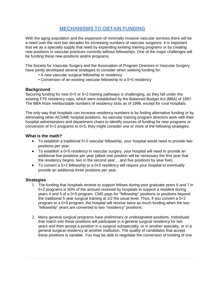# **MECHANISMS TO OBTAIN FUNDING**

<span id="page-23-0"></span>With the aging population and the expansion of minimally invasive vascular services there will be a need over the next two decades for increasing numbers of vascular surgeons. It is important that we as a specialty supply that need by expanding existing training programs or by creating new positions in vascular practices currently without fellowships. One of the major challenges will be funding these new positions and/or programs.

The Society for Vascular Surgery and the Association of Program Directors in Vascular Surgery have jointly developed several strategies to consider when seeking funding for:

- A new vascular surgical fellowship or residency
- Conversion of an existing vascular fellowship to a 0+5 residency

#### **Background**

Securing funding for new 0+5 or 5+2 training pathways is challenging, as they fall under the existing FTE residency caps, which were established by the Balanced Budget Act (BBA) of 1997. The BBA froze reimbursable numbers of residency slots as of 1996, except for rural hospitals.

The only way that hospitals can increase residency numbers is by finding alternative funding or by eliminating other ACGME hospital positions. As vascular training program directors work with their hospital administrators and department chairs to identify sources of funding for new programs or conversion of 5+2 programs to 0+5, they might consider one or more of the following strategies.

#### **What is the math?**

- To establish a traditional 5+2 vascular fellowship, your hospital would need to provide two positions per year.
- To establish a 0+5 residency in vascular surgery, your hospital will need to provide an additional five positions per year (albeit one position will be necessary the first year that the residency begins, two in the second year….and five positions by year five).
- To convert a 5+2 fellowship to a 0+5 residency will require your hospital to eventually provide an additional three positions per year.

#### **Strategies**

- 1. The funding that hospitals receive to support fellows during post graduate years 6 and 7 in 5+2 programs is 50% of the amount received by hospitals to support a resident during years 4 and 5 of a 0+5 program. CMS pays for "fellowship" positions or positions beyond the traditional 5 year surgical training at 1/2 the usual level. Thus, if you convert a 5+2 program to a 0+5 program, the hospital will receive twice as much funding when the two "fellowship" years are converted to two "residency" positions.
- 2. Many general surgical programs have preliminary or undesignated positions. Individuals that match into these positions will participate in a general surgical residency for two years and then accept a position in a surgical subspecialty, or in another specialty, or in a general surgical residency at another institution. The quality of candidates that accept these positions is variable. You may be able to negotiate the conversion of funding of one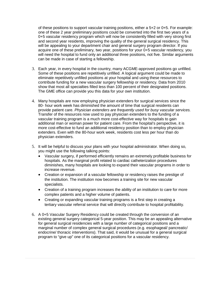of these positions to support vascular training positions, either a 5+2 or 0+5. For example: one of these 2 year preliminary positions could be converted into the first two years of a 0+5 vascular residency program which will now be consistently filled with very strong first and second year residents, improving the quality of the general surgical residency. This will be appealing to your department chair and general surgery program director. If you acquire one of these preliminary, two year, positions for your 0+5 vascular residency, you will need the hospital to fund only an additional three positions, not five. Similar arguments can be made in case of starting a fellowship.

- 3. Each year, in every hospital in the country, many ACGME-approved positions go unfilled. Some of these positions are repetitively unfilled. A logical argument could be made to eliminate repetitively unfilled positions at your hospital and using these resources to contribute funding for a new vascular surgery fellowship or residency. Data from 2010 show that most all specialties filled less than 100 percent of their designated positions. The GME office can provide you this data for your own institution.
- 4. Many hospitals are now employing physician extenders for surgical services since the 80- hour work week has diminished the amount of time that surgical residents can provide patient care. *Physician extenders are frequently used for busy vascular services.* Transfer of the resources now used to pay physician extenders to the funding of a vascular training program is a much more cost-effective way for hospitals to gain additional man or woman power for patient care. From the hospital's perspective, it is more cost-effective to fund an additional residency position than to employ physician extenders. Even with the 80-hour work week, residents cost less per hour than do physician extenders.
- 5. It will be helpful to discuss your plans with your hospital administrator. When doing so, you might use the following talking points:
	- Vascular surgery, if performed efficiently remains an extremely profitable business for hospitals. As the marginal profit related to cardiac catheterization procedures diminishes, many hospitals are looking to expand their vascular programs in order to increase revenue.
	- Creation or expansion of a vascular fellowship or residency raises the prestige of the institution. The institution now becomes a training site for new vascular specialists.
	- Creation of a training program increases the ability of an institution to care for more complex patients and a higher volume of patients.
	- Creating or expanding vascular training programs is a first step in creating a tertiary vascular referral service that will directly contribute to hospital profitability.
- 6. A 0+5 Vascular Surgery Residency could be created through the conversion of an existing general surgery categorical 5-year position. This may be an appealing alternative for general surgical residencies with a large number of categorical positions and a marginal number of complex general surgical procedures (e.g. esophageal/ pancreatic/ endocrine/ thoracic interventions). That said, it would be unusual for a general surgical program to "give up" one of its categorical positions for a vascular residency.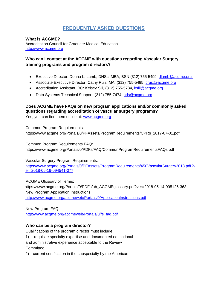# **FREQUENTLY ASKED QUESTIONS**

<span id="page-25-0"></span>**What is ACGME?**

Accreditation Council for Graduate Medical Education [http://www.acgme.org](http://www.acgme.org/)

# **Who can I contact at the ACGME with questions regarding Vascular Surgery training programs and program directors?**

- Executive Director: Donna L. Lamb, DHSc, MBA, BSN (312) 755-5499, [dlamb@acgme.org](mailto:dlamb@acgme.org)
- Associate Executive Director: Cathy Ruiz, MA, (312) 755-5495, [cruiz@acgme.org](mailto:cruiz@acgme.org)
- Accreditation Assistant, RC: Kelsey Sill, (312) 755-5784, [ksill@acgme.org](mailto:ksill@acgme.org)
- Data Systems Technical Support, (312) 755-7474, ads@acgme.org

# **Does ACGME have FAQs on new program applications and/or commonly asked questions regarding accreditation of vascular surgery programs?**

Yes, you can find them online at: [www.acgme.org](http://www.acgme.org/)

Common Program Requirements: https://www.acgme.org/Portals/0/PFAssets/ProgramRequirements/CPRs\_2017-07-01.pdf

Common Program Requirements FAQ: https://www.acgme.org/Portals/0/PDFs/FAQ/CommonProgramRequirementsFAQs.pdf

Vascular Surgery Program Requirements:

[https://www.acgme.org/Portals/0/PFAssets/ProgramRequirements/450VascularSurgery2018.pdf?v](https://www.acgme.org/Portals/0/PFAssets/ProgramRequirements/450VascularSurgery2018.pdf?ver=2018-06-19-094541-077) [er=2018-06-19-094541-077](https://www.acgme.org/Portals/0/PFAssets/ProgramRequirements/450VascularSurgery2018.pdf?ver=2018-06-19-094541-077)

ACGME Glossary of Terms:

https://www.acgme.org/Portals/0/PDFs/ab\_ACGMEglossary.pdf?ver=2018-05-14-095126-363 New Program Application Instructions:

<http://www.acgme.org/acgmeweb/Portals/0/ApplicationInstructions.pdf>

New Program FAQ:

[http://www.acgme.org/acgmeweb/Portals/0/fs\\_faq.pdf](http://www.acgme.org/acgmeweb/Portals/0/fs_faq.pdf)

# **Who can be a program director?**

Qualifications of the program director must include:

1) requisite specialty expertise and documented educational

and administrative experience acceptable to the Review

**Committee** 

2) current certification in the subspecialty by the American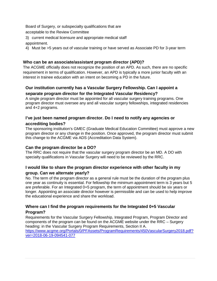Board of Surgery, or subspecialty qualifications that are

acceptable to the Review Committee

3) current medical licensure and appropriate medical staff appointment.

4) Must be >5 years out of vascular training or have served as Associate PD for 3-year term

# **Who can be an associate/assistant program director (APD)?**

The ACGME officially does not recognize the position of an APD. As such, there are no specific requirement in terms of qualification. However, an APD is typically a more junior faculty with an interest in trainee education with an intent on becoming a PD in the future.

# **Our institution currently has a Vascular Surgery Fellowship. Can I appoint a separate program director for the Integrated Vascular Residency?**

A single program director must be appointed for all vascular surgery training programs. One program director must oversee any and all vascular surgery fellowships, integrated residencies and 4+2 programs.

# **I've just been named program director. Do I need to notify any agencies or accrediting bodies?**

The sponsoring institution's GMEC (Graduate Medical Education Committee) must approve a new program director or any change in the position. Once approved, the program director must submit this change to the ACGME via ADS (Accreditation Data System).

# **Can the program director be a DO?**

The RRC does not require that the vascular surgery program director be an MD. A DO with specialty qualifications in Vascular Surgery will need to be reviewed by the RRC.

# **I would like to share the program director experience with other faculty in my**

#### **group. Can we alternate yearly?**

No. The term of the program director as a general rule must be the duration of the program plus one year as continuity is essential. For fellowship the minimum appointment term is 3 years but 5 are preferable. For an Integrated 0+5 program, the term of appointment should be six years or longer. Appointing an associate director however is permissible and can be used to help improve the educational experience and share the workload.

# **Where can I find the program requirements for the Integrated 0+5 Vascular Program?**

Requirements for the Vascular Surgery Fellowship, Integrated Program, Program Director and components of the program can be found on the ACGME website under the RRC – Surgery heading: in the Vascular Surgery Program Requirements, Section II A. [https://www.acgme.org/Portals/0/PFAssets/ProgramRequirements/450VascularSurgery2018.pdf?](https://www.acgme.org/Portals/0/PFAssets/ProgramRequirements/450VascularSurgery2018.pdf?ver=2018-06-19-094541-077) [ver=2018-06-19-094541-077](https://www.acgme.org/Portals/0/PFAssets/ProgramRequirements/450VascularSurgery2018.pdf?ver=2018-06-19-094541-077)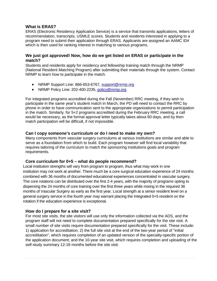#### **What is ERAS?**

ERAS (Electronic Residency Application Service) is a service that transmits applications, letters of recommendation, transcripts, USMLE scores. Students and residents interested in applying to a program need to submit their application through ERAS. Applicants are assigned an AAMC ID# which is then used for ranking interest in matching to various programs.

#### **We just got approved! Now, how do we get listed on ERAS or participate in the match?**

Students and residents apply for residency and fellowship training match through the NRMP (National Resident Matching Program) after submitting their materials through the system. Contact NRMP to learn how to participate in the match.

- NRMP Support Line: 866-653-6767, [support@nrmp.org](mailto:support@nrmp.org)
- NRMP Policy Line: 202-400-2235, [policy@nrmp.org](mailto:policy@nrmp.org)

For integrated programs accredited during the Fall (November) RRC meeting, if they wish to participate in the same year's student match in March, the PD will need to contact the RRC by phone in order to have communication sent to the appropriate organizations to permit participation in the match. Similarly, for 5+2 programs accredited during the February RRC meeting, a call would be necessary, as the formal approval letter typically takes about 60 days, and by then match participation will be difficult, if not impossible.

#### **Can I copy someone's curriculum or do I need to make my own?**

Many components from vascular surgery curriculums at various institutions are similar and able to serve as a foundation from which to build. Each program however will find local variability that requires tailoring of the curriculum to match the sponsoring institutions goals and program requirements.

#### **Core curriculum for 0+5 – what do people recommend?**

Local institution strengths will vary from program to program, thus what may work in one institution may not work at another. There much be a core surgical education experience of 24 months combined with 36 months of documented educational experiences concentrated in vascular surgery. The core rotations can be distributed over the first 2-4 years, with the majority of programs opting to dispersing the 24 months of core training over the first three years while mixing in the required 36 months of Vascular Surgery as early as the first year. Local strength at a senior resident level on a general surgery service in the fourth year may warrant placing the Integrated 0+5 resident on the rotation if the education experience is exceptional.

#### **How do I prepare for a site visit?**

For most site visits, the site visitors will use only the information collected via the ADS, and the program staff will not need to complete documentation prepared specifically for the site visit. A small number of site visits require documentation prepared specifically for the visit. These include: 1) application for accreditation; 2) the full site visit at the end of the two-year period of "initial accreditation", which requires completion of an updated version of the specialty-specific portion of the application document; and the 10-year site visit, which requires completion and uploading of the self-study summary 12-18 months before the site visit.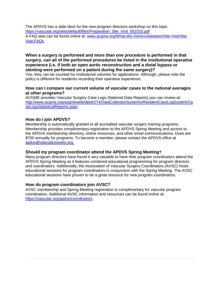The APDVS has a slide deck for the new program directors workshop on this topic: [https://vascular.org/sites/default/files/Preparation\\_Site\\_Visit\\_051010.pdf](https://vascular.org/sites/default/files/Preparation_Site_Visit_051010.pdf) A FAQ also can be found online at: [www.acgme.org/What-We-Do/Accreditation/Site-Visit/Site-](http://www.acgme.org/What-We-Do/Accreditation/Site-Visit/Site-Visit.FAQs)[Visit.FAQs](http://www.acgme.org/What-We-Do/Accreditation/Site-Visit/Site-Visit.FAQs)

#### **When a surgery is performed and more than one procedure is performed in that surgery, can all of the performed procedures be listed in the institutional operative experience (i.e. if both an open aortic reconstruction and a distal bypass or stenting were performed on a patient during the same surgery)?**

Yes, they can be counted for institutional volumes for applications. Although, please note the policy is different for residents recording their operative experience.

#### **How can I compare our current volume of vascular cases to the national averages at other programs?**

ACGME provides Vascular Surgery Case Logs (National Data Reports) you can review at: [http://www.acgme.org/acgmeweb/tabid/274/DataCollectionSystems/ResidentCaseLogSystem/Ca](http://www.acgme.org/acgmeweb/tabid/274/DataCollectionSystems/ResidentCaseLogSystem/CaseLogsStatisticalReports.aspx) [seLogsStatisticalReports.aspx](http://www.acgme.org/acgmeweb/tabid/274/DataCollectionSystems/ResidentCaseLogSystem/CaseLogsStatisticalReports.aspx)

#### **How do I join APDVS?**

Membership is automatically granted to all accredited vascular surgery training programs. Membership provides complimentary registration to the APDVS Spring Meeting and access to the APDVS membership directory, online resources, and other email communications. Dues are \$700 annually for programs. To become a member, please contact the APDVS office at [apdvs@vascularsociety.org.](mailto:apdvs@vascularsociety.org.)

#### **Should my program coordinator attend the APDVS Spring Meeting?**

Many program directors have found it very valuable to have their program coordinators attend the APDVS Spring Meeting as it features combined educational programming for program directors and coordinators. Additionally, the Association of Vascular Surgery Coordinators (AVSC) hosts educational sessions for program coordinators in conjunction with the Spring Meeting. The AVSC educational sessions have proven to be a great resource for new program coordinators.

#### **How do program coordinators join AVSC?**

AVSC membership and Spring Meeting registration is complimentary for vascular program coordinators. Additional AVSC information and resources can be found online at: <https://vascular.org/apdvs/coordinators>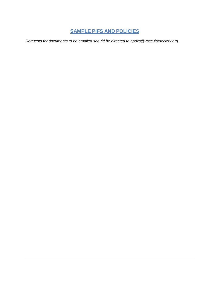# **SAMPLE PIFS AND POLICIES**

<span id="page-29-0"></span>*Requests for documents to be emailed should be dire[cted to apdvs@vascularsociety.org.](mailto:ekalata@vascularsociety.org)*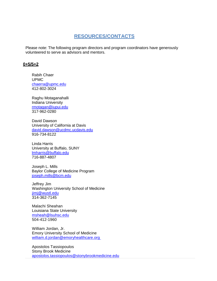# **RESOURCES/CONTACTS**

Please note: The following program directors and program coordinators have generously volunteered to serve as advisors and mentors.

#### **0+5/5+2**

Rabih Chaer UPMC [chaerra@upmc.edu](mailto:chaerra@upmc.edu) 412-802-3024

Raghu Motaganahalli Indiana University [rmotagan@iupui.edu](mailto:rmotagan@iupui.edu) 317-962-0280

David Dawson University of California at Davis [david.dawson@ucdmc.ucdavis.edu](mailto:david.dawson@ucdmc.ucdavis.edu) 916-734-8122

Linda Harris University at Buffalo, SUNY [lmharris@buffalo.edu](mailto:lmharris@buffalo.edu) 716-887-4807

Joseph L. Mills Baylor College of Medicine Program [joseph.mills@bcm.edu](mailto:joseph.mills@bcm.edu)

Jeffrey Jim Washington University School of Medicine [jimj@wustl.edu](mailto:jimj@wustl.edu) 314-362-7145

Malachi Sheahan Louisiana State University [msheah@lsuhsc.edu](mailto:msheah@lsuhsc.edu) 504-412-1960

William Jordan, Jr. Emory University School of Medicine [william.d.jordan@emoryhealthcare.org](mailto:william.d.jordan@emoryhealthcare.org)

Apostolos Tassiopoulos Stony Brook Medicine [apostolos.tassiopoulos@stonybrookmedicine.edu](mailto:apostolos.tassiopoulos@stonybrookmedicine.edu)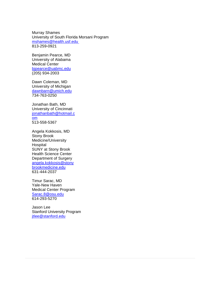Murray Shames University of South Florida Morsani Program [mshames@health.usf.edu](mailto:mshames@health.usf.edu) 813-259-0921

Benjamin Pearce, MD University of Alabama Medical Center [bjpearce@uabmc.edu](mailto:bjpearce@uabmc.edu) (205) 934-2003

Dawn Coleman, MD University of Michigan [dawnbarn@umich.edu](mailto:dawnbarn@umich.edu) 734-763-0250

Jonathan Bath, MD University of Cincinnati [jonathanbath@hotmail.c](mailto:jonathanbath@hotmail.com) [om](mailto:jonathanbath@hotmail.com) 513-558-5367

Angela Kokkosis, MD Stony Brook Medicine/University **Hospital** SUNY at Stony Brook Health Science Center Department of Surgery [angela.kokkosis@stony](mailto:angela.kokkosis@stonybrookmedicine.edu) [brookmedicine.edu](mailto:angela.kokkosis@stonybrookmedicine.edu) 631-444-2037

Timur Sarac, MD Yale-New Haven Medical Center Program [Sarac.8@osu.edu](mailto:Sarac.8@osu.edu) 614-293-5270

Jason Lee Stanford University Program [jtlee@stanford.edu](mailto:jtlee@stanford.edu)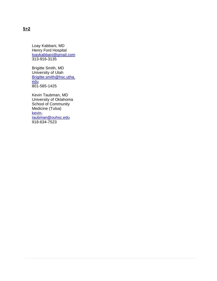Loay Kabbani, MD Henry Ford Hospital [loaykabbani@gmail.com](mailto:loaykabbani@gmail.com) 313-916-3135

Brigitte Smith, MD University of Utah [Brigitte.smith@hsc.utha.](mailto:Brigitte.smith@hsc.utha.edu) [edu](mailto:Brigitte.smith@hsc.utha.edu) 801-585-1425

Kevin Taubman, MD University of Oklahoma School of Community Medicine (Tulsa) [kevin](mailto:kevin-taubman@ouhsc.edu)[taubman@ouhsc.edu](mailto:kevin-taubman@ouhsc.edu) 918-634-7523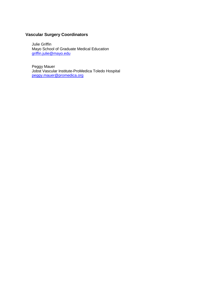# **Vascular Surgery Coordinators**

Julie Griffin Mayo School of Graduate Medical Education [griffin.julie@mayo.edu](mailto:griffin.julie@mayo.edu)

Peggy Mauer Jobst Vascular Institute-ProMedica Toledo Hospital [peggy.mauer@promedica.org](mailto:peggy.mauer@promedica.org)